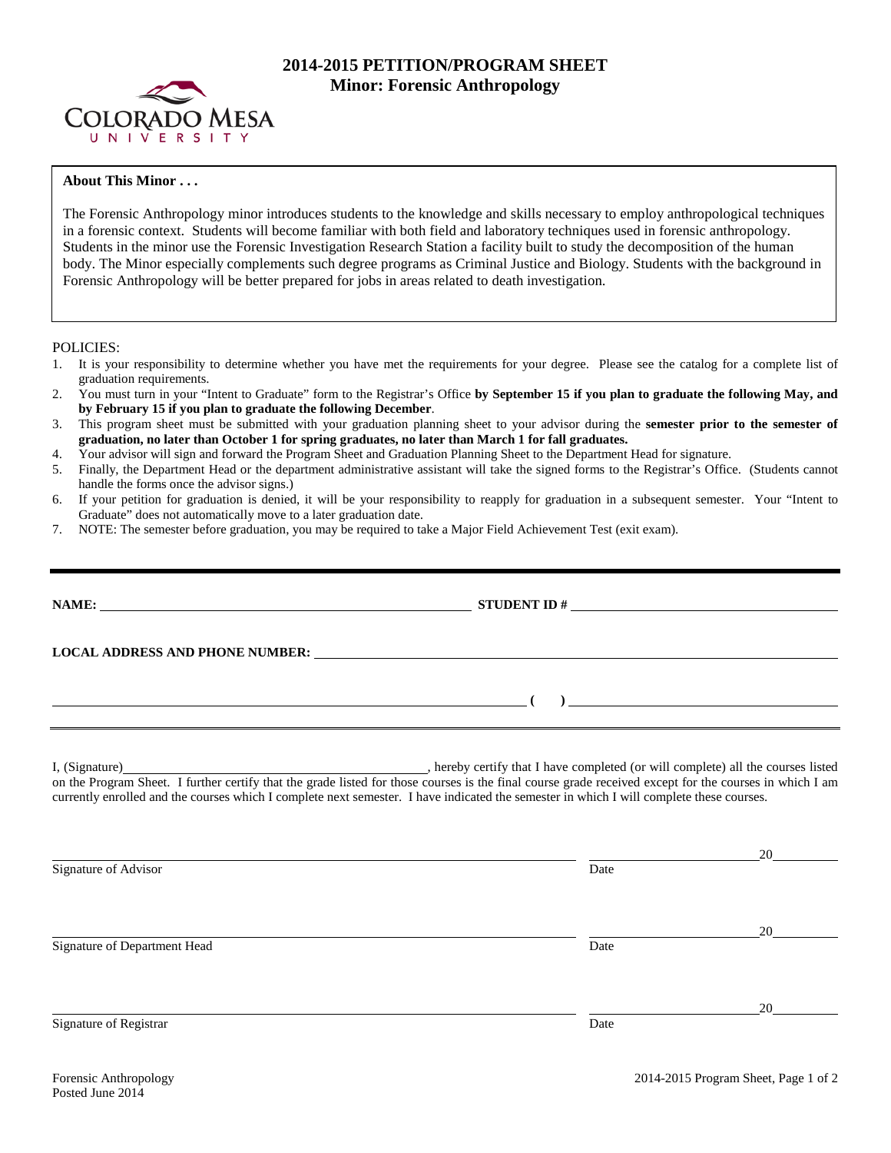

## **2014-2015 PETITION/PROGRAM SHEET Minor: Forensic Anthropology**

## **About This Minor . . .**

The Forensic Anthropology minor introduces students to the knowledge and skills necessary to employ anthropological techniques in a forensic context. Students will become familiar with both field and laboratory techniques used in forensic anthropology. Students in the minor use the Forensic Investigation Research Station a facility built to study the decomposition of the human body. The Minor especially complements such degree programs as Criminal Justice and Biology. Students with the background in Forensic Anthropology will be better prepared for jobs in areas related to death investigation.

POLICIES:

- 1. It is your responsibility to determine whether you have met the requirements for your degree. Please see the catalog for a complete list of graduation requirements.
- 2. You must turn in your "Intent to Graduate" form to the Registrar's Office **by September 15 if you plan to graduate the following May, and by February 15 if you plan to graduate the following December**.
- 3. This program sheet must be submitted with your graduation planning sheet to your advisor during the **semester prior to the semester of graduation, no later than October 1 for spring graduates, no later than March 1 for fall graduates.**
- 4. Your advisor will sign and forward the Program Sheet and Graduation Planning Sheet to the Department Head for signature.
- 5. Finally, the Department Head or the department administrative assistant will take the signed forms to the Registrar's Office. (Students cannot handle the forms once the advisor signs.)
- 6. If your petition for graduation is denied, it will be your responsibility to reapply for graduation in a subsequent semester. Your "Intent to Graduate" does not automatically move to a later graduation date.
- 7. NOTE: The semester before graduation, you may be required to take a Major Field Achievement Test (exit exam).

|                                                                                                                                                                                                                                                                                                                                                                            | STUDENT ID $\#$ |                                                                                                                                                                                                                                                                                                                                                                                             |
|----------------------------------------------------------------------------------------------------------------------------------------------------------------------------------------------------------------------------------------------------------------------------------------------------------------------------------------------------------------------------|-----------------|---------------------------------------------------------------------------------------------------------------------------------------------------------------------------------------------------------------------------------------------------------------------------------------------------------------------------------------------------------------------------------------------|
| LOCAL ADDRESS AND PHONE NUMBER: Under the contract of the contract of the contract of the contract of the contract of the contract of the contract of the contract of the contract of the contract of the contract of the cont                                                                                                                                             |                 |                                                                                                                                                                                                                                                                                                                                                                                             |
|                                                                                                                                                                                                                                                                                                                                                                            |                 | $\begin{picture}(150,10) \put(0,0){\dashbox{0.5}(10,0){ }} \put(15,0){\circle{10}} \put(15,0){\circle{10}} \put(15,0){\circle{10}} \put(15,0){\circle{10}} \put(15,0){\circle{10}} \put(15,0){\circle{10}} \put(15,0){\circle{10}} \put(15,0){\circle{10}} \put(15,0){\circle{10}} \put(15,0){\circle{10}} \put(15,0){\circle{10}} \put(15,0){\circle{10}} \put(15,0){\circle{10}} \put(15$ |
| I, (Signature) (Signature) (Signature) (Signature) all the courses listed on the Program Sheet. I further certify that the grade listed for those courses is the final course grade received except for the courses in which I<br>currently enrolled and the courses which I complete next semester. I have indicated the semester in which I will complete these courses. |                 |                                                                                                                                                                                                                                                                                                                                                                                             |
|                                                                                                                                                                                                                                                                                                                                                                            |                 |                                                                                                                                                                                                                                                                                                                                                                                             |
| Signature of Advisor                                                                                                                                                                                                                                                                                                                                                       | Date            |                                                                                                                                                                                                                                                                                                                                                                                             |
|                                                                                                                                                                                                                                                                                                                                                                            |                 |                                                                                                                                                                                                                                                                                                                                                                                             |
| Signature of Department Head                                                                                                                                                                                                                                                                                                                                               | Date            | 20                                                                                                                                                                                                                                                                                                                                                                                          |